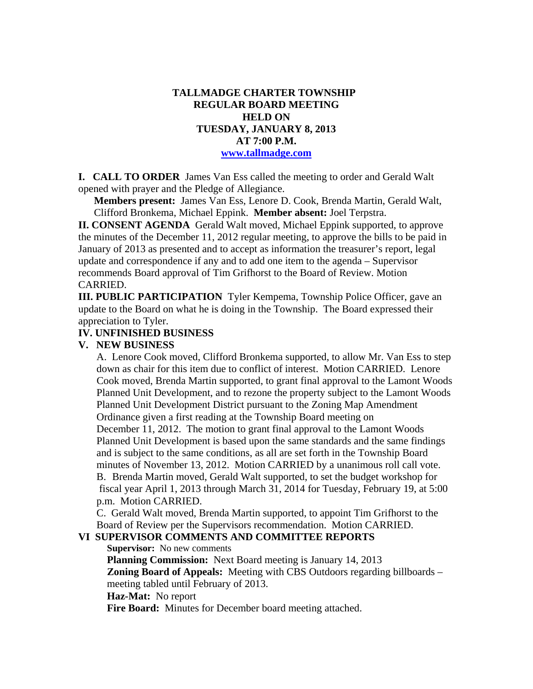## **TALLMADGE CHARTER TOWNSHIP REGULAR BOARD MEETING HELD ON TUESDAY, JANUARY 8, 2013 AT 7:00 P.M. www.tallmadge.com**

**I. CALL TO ORDER** James Van Ess called the meeting to order and Gerald Walt opened with prayer and the Pledge of Allegiance.

**Members present:** James Van Ess, Lenore D. Cook, Brenda Martin, Gerald Walt, Clifford Bronkema, Michael Eppink. **Member absent:** Joel Terpstra.

**II. CONSENT AGENDA** Gerald Walt moved, Michael Eppink supported, to approve the minutes of the December 11, 2012 regular meeting, to approve the bills to be paid in January of 2013 as presented and to accept as information the treasurer's report, legal update and correspondence if any and to add one item to the agenda – Supervisor recommends Board approval of Tim Grifhorst to the Board of Review. Motion CARRIED.

**III. PUBLIC PARTICIPATION** Tyler Kempema, Township Police Officer, gave an update to the Board on what he is doing in the Township. The Board expressed their appreciation to Tyler.

#### **IV. UNFINISHED BUSINESS**

#### **V. NEW BUSINESS**

 A. Lenore Cook moved, Clifford Bronkema supported, to allow Mr. Van Ess to step down as chair for this item due to conflict of interest. Motion CARRIED. Lenore Cook moved, Brenda Martin supported, to grant final approval to the Lamont Woods Planned Unit Development, and to rezone the property subject to the Lamont Woods Planned Unit Development District pursuant to the Zoning Map Amendment Ordinance given a first reading at the Township Board meeting on December 11, 2012. The motion to grant final approval to the Lamont Woods Planned Unit Development is based upon the same standards and the same findings and is subject to the same conditions, as all are set forth in the Township Board minutes of November 13, 2012. Motion CARRIED by a unanimous roll call vote. B. Brenda Martin moved, Gerald Walt supported, to set the budget workshop for fiscal year April 1, 2013 through March 31, 2014 for Tuesday, February 19, at 5:00 p.m. Motion CARRIED.

C. Gerald Walt moved, Brenda Martin supported, to appoint Tim Grifhorst to the Board of Review per the Supervisors recommendation. Motion CARRIED.

## **VI SUPERVISOR COMMENTS AND COMMITTEE REPORTS**

 **Supervisor:** No new comments

 **Planning Commission:** Next Board meeting is January 14, 2013 **Zoning Board of Appeals:** Meeting with CBS Outdoors regarding billboards – meeting tabled until February of 2013.

**Haz-Mat:** No report

**Fire Board:** Minutes for December board meeting attached.